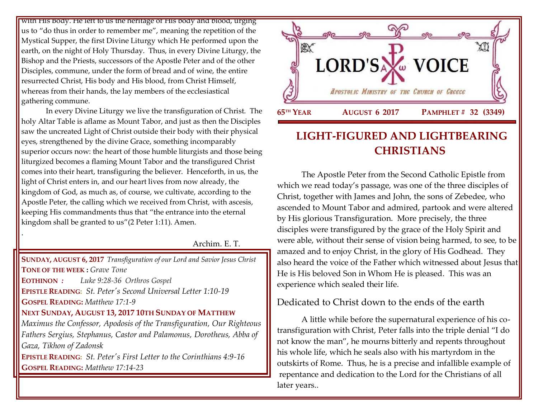with His Body. He left to us the heritage of His body and blood, urging us to "do thus in order to remember me", meaning the repetition of the Mystical Supper, the first Divine Liturgy which He performed upon the earth, on the night of Holy Thursday. Thus, in every Divine Liturgy, the Bishop and the Priests, successors of the Apostle Peter and of the other Disciples, commune, under the form of bread and of wine, the entire resurrected Christ, His body and His blood, from Christ Himself, whereas from their hands, the lay members of the ecclesiastical gathering commune.

In every Divine Liturgy we live the transfiguration of Christ. The holy Altar Table is aflame as Mount Tabor, and just as then the Disciples saw the uncreated Light of Christ outside their body with their physical eyes, strengthened by the divine Grace, something incomparably superior occurs now: the heart of those humble liturgists and those being liturgized becomes a flaming Mount Tabor and the transfigured Christ comes into their heart, transfiguring the believer. Henceforth, in us, the light of Christ enters in, and our heart lives from now already, the kingdom of God, as much as, of course, we cultivate, according to the Apostle Peter, the calling which we received from Christ, with ascesis, keeping His commandments thus that "the entrance into the eternal kingdom shall be granted to us"(2 Peter 1:11). Amen.

.

Archim. E. T.

**SUNDAY, AUGUST 6, 2017** *[Transfiguration of our Lord](https://www.goarch.org/chapel/saints?contentid=155) and Savior Jesus Christ* **TONE OF THE WEEK :** *Grave Tone* **EOTHINON** *: Luke 9:28-36 Orthros Gospel* **EPISTLE READING:** *[St. Peter's Second Universal Letter 1:10-19](https://www.goarch.org/chapel/lectionary?type=epistle&code=27&event=940&date=5/28/2017)* **GOSPEL READING:** *[Matthew 17:1-9](https://www.goarch.org/chapel/lectionary?type=gospel&code=43&event=940&date=5/28/2017)* **NEXT SUNDAY, AUGUST 13, 2017 10TH S[UNDAY OF](https://www.goarch.org/chapel/saints?contentid=1098&PCode=10PES&D=S&date=8/13/2017) MATTHEW** *[Maximus the Confessor,](https://www.goarch.org/chapel/saints?contentid=162) [Apodosis of the Transfiguration,](https://www.goarch.org/chapel/saints?contentid=572) Our Righteous Fathers Sergius, Stephanus, Castor and Palamonus, [Dorotheus, Abba of](https://www.goarch.org/chapel/saints?contentid=2217)  [Gaza,](https://www.goarch.org/chapel/saints?contentid=2217) [Tikhon of Zadonsk](https://www.goarch.org/chapel/saints?contentid=2468)*  **EPISTLE READING:** *[St. Peter's First Letter to the Corinthians 4:9-16](https://www.goarch.org/chapel/lectionary?type=epistle&code=27&event=940&date=5/28/2017)* **GOSPEL READING:** *[Matthew 17:14-23](https://www.goarch.org/chapel/lectionary?type=gospel&code=43&event=940&date=5/28/2017)*



# **LIGHT-FIGURED AND LIGHTBEARING CHRISTIANS**

The Apostle Peter from the Second Catholic Epistle from which we read today's passage, was one of the three disciples of Christ, together with James and John, the sons of Zebedee, who ascended to Mount Tabor and admired, partook and were altered by His glorious Transfiguration. More precisely, the three disciples were transfigured by the grace of the Holy Spirit and were able, without their sense of vision being harmed, to see, to be amazed and to enjoy Christ, in the glory of His Godhead. They also heard the voice of the Father which witnessed about Jesus that He is His beloved Son in Whom He is pleased. This was an experience which sealed their life.

# Dedicated to Christ down to the ends of the earth

A little while before the supernatural experience of his cotransfiguration with Christ, Peter falls into the triple denial "I do not know the man", he mourns bitterly and repents throughout his whole life, which he seals also with his martyrdom in the outskirts of Rome. Thus, he is a precise and infallible example of repentance and dedication to the Lord for the Christians of all later years..